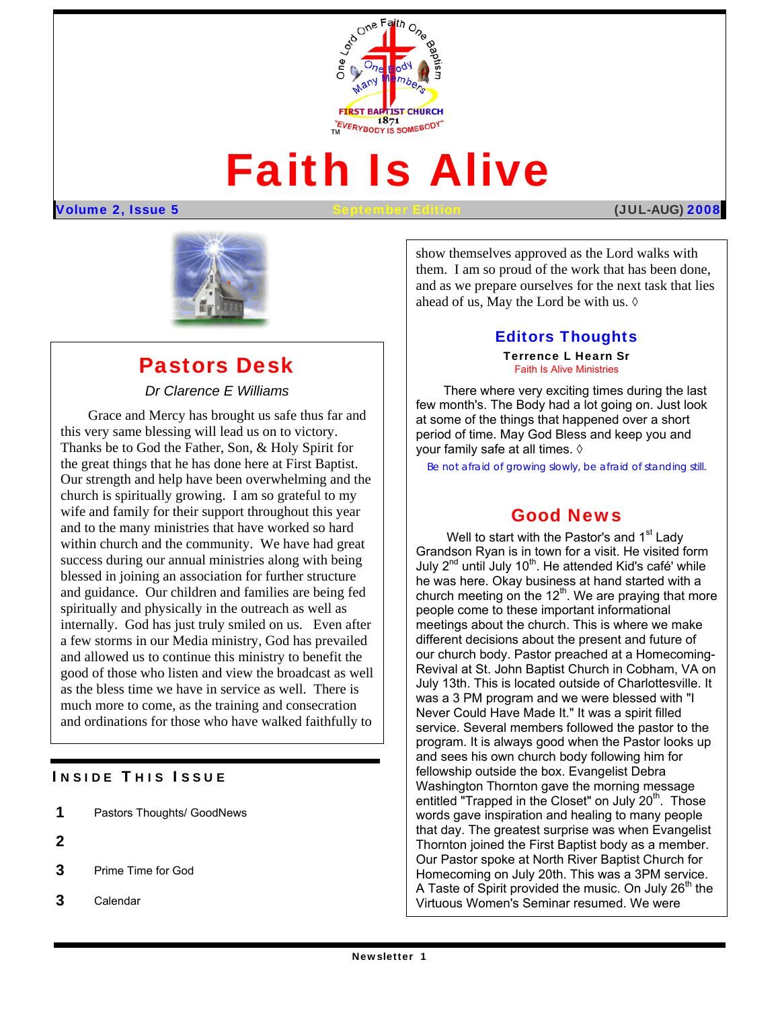

# Faith Is Alive

#### Volume 2, Issue 5 September Edition (JUL**-AUG)** 2008



# Pastors Desk

## *Dr Clarence E Williams*

 Our strength and help have been overwhelming and the Grace and Mercy has brought us safe thus far and this very same blessing will lead us on to victory. Thanks be to God the Father, Son, & Holy Spirit for the great things that he has done here at First Baptist. church is spiritually growing. I am so grateful to my wife and family for their support throughout this year and to the many ministries that have worked so hard within church and the community. We have had great success during our annual ministries along with being blessed in joining an association for further structure and guidance. Our children and families are being fed spiritually and physically in the outreach as well as internally. God has just truly smiled on us. Even after a few storms in our Media ministry, God has prevailed and allowed us to continue this ministry to benefit the good of those who listen and view the broadcast as well as the bless time we have in service as well. There is much more to come, as the training and consecration and ordinations for those who have walked faithfully to

### **INSIDE THIS ISSUE**

| 1<br>Pastors Thoughts/ GoodNews |  |
|---------------------------------|--|
|---------------------------------|--|

- 2
- 3 Prime Time for God
- 3 Calendar

show themselves approved as the Lord walks with them. I am so proud of the work that has been done, and as we prepare ourselves for the next task that lies ahead of us, May the Lord be with us.  $\Diamond$ 

## Editors Thoughts

Terrence L Hearn Sr Faith Is Alive Ministries

There where very exciting times during the last few month's. The Body had a lot going on. Just look at some of the things that happened over a short period of time. May God Bless and keep you and your family safe at all times. ◊

*Be not afraid of growing slowly, be afraid of standing still.* 

## Good News

words gave inspiration and nealing to many people<br>that day. The greatest surprise was when Evangelist Well to start with the Pastor's and 1<sup>st</sup> Lady Grandson Ryan is in town for a visit. He visited form July  $2^{nd}$  until July 10<sup>th</sup>. He attended Kid's café' while he was here. Okay business at hand started with a church meeting on the  $12<sup>th</sup>$ . We are praying that more people come to these important informational meetings about the church. This is where we make different decisions about the present and future of our church body. Pastor preached at a Homecoming-Revival at St. John Baptist Church in Cobham, VA on July 13th. This is located outside of Charlottesville. It was a 3 PM program and we were blessed with "I Never Could Have Made It." It was a spirit filled service. Several members followed the pastor to the program. It is always good when the Pastor looks up and sees his own church body following him for fellowship outside the box. Evangelist Debra Washington Thornton gave the morning message entitled "Trapped in the Closet" on July  $20<sup>th</sup>$ . Those words gave inspiration and healing to many people Thornton joined the First Baptist body as a member. Our Pastor spoke at North River Baptist Church for Homecoming on July 20th. This was a 3PM service. A Taste of Spirit provided the music. On July  $26<sup>th</sup>$  the Virtuous Women's Seminar resumed. We were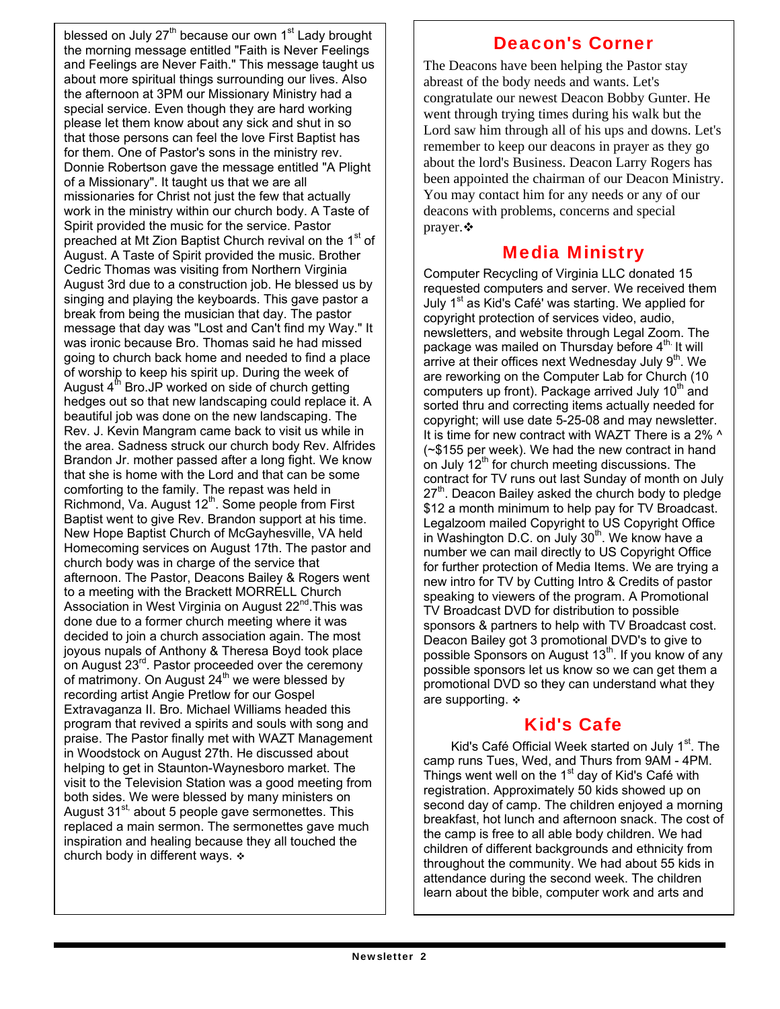blessed on July 27<sup>th</sup> because our own 1<sup>st</sup> Lady brought the morning message entitled "Faith is Never Feelings and Feelings are Never Faith." This message taught us about more spiritual things surrounding our lives. Also the afternoon at 3PM our Missionary Ministry had a special service. Even though they are hard working please let them know about any sick and shut in so that those persons can feel the love First Baptist has for them. One of Pastor's sons in the ministry rev. Donnie Robertson gave the message entitled "A Plight of a Missionary". It taught us that we are all missionaries for Christ not just the few that actually work in the ministry within our church body. A Taste of Spirit provided the music for the service. Pastor preached at Mt Zion Baptist Church revival on the 1<sup>st</sup> of August. A Taste of Spirit provided the music. Brother Cedric Thomas was visiting from Northern Virginia August 3rd due to a construction job. He blessed us by singing and playing the keyboards. This gave pastor a break from being the musician that day. The pastor message that day was "Lost and Can't find my Way." It was ironic because Bro. Thomas said he had missed going to church back home and needed to find a place of worship to keep his spirit up. During the week of August  $4<sup>th</sup>$  Bro.JP worked on side of church getting hedges out so that new landscaping could replace it. A beautiful job was done on the new landscaping. The Rev. J. Kevin Mangram came back to visit us while in the area. Sadness struck our church body Rev. Alfrides Brandon Jr. mother passed after a long fight. We know that she is home with the Lord and that can be some comforting to the family. The repast was held in Richmond, Va. August 12<sup>th</sup>. Some people from First Baptist went to give Rev. Brandon support at his time. New Hope Baptist Church of McGayhesville, VA held Homecoming services on August 17th. The pastor and church body was in charge of the service that afternoon. The Pastor, Deacons Bailey & Rogers went to a meeting with the Brackett MORRELL Church Association in West Virginia on August 22<sup>nd</sup>. This was done due to a former church meeting where it was decided to join a church association again. The most joyous nupals of Anthony & Theresa Boyd took place on August 23<sup>rd</sup>. Pastor proceeded over the ceremony of matrimony. On August  $24<sup>th</sup>$  we were blessed by recording artist Angie Pretlow for our Gospel Extravaganza II. Bro. Michael Williams headed this program that revived a spirits and souls with song and praise. The Pastor finally met with WAZT Management in Woodstock on August 27th. He discussed about helping to get in Staunton-Waynesboro market. The visit to the Television Station was a good meeting from both sides. We were blessed by many ministers on August  $31^{st}$  about 5 people gave sermonettes. This replaced a main sermon. The sermonettes gave much inspiration and healing because they all touched the church body in different ways.  $\div$ 

## Deacon's Corner

The Deacons have been helping the Pastor stay abreast of the body needs and wants. Let's congratulate our newest Deacon Bobby Gunter. He went through trying times during his walk but the Lord saw him through all of his ups and downs. Let's remember to keep our deacons in prayer as they go about the lord's Business. Deacon Larry Rogers has been appointed the chairman of our Deacon Ministry. You may contact him for any needs or any of our deacons with problems, concerns and special prayer. ❖

# Media Ministry

Computer Recycling of Virginia LLC donated 15 requested computers and server. We received them July 1<sup>st</sup> as Kid's Café' was starting. We applied for copyright protection of services video, audio, newsletters, and website through Legal Zoom. The package was mailed on Thursday before  $4^{\text{th}}$  It will arrive at their offices next Wednesday July 9<sup>th</sup>. We are reworking on the Computer Lab for Church (10 computers up front). Package arrived July  $10<sup>th</sup>$  and sorted thru and correcting items actually needed for copyright; will use date 5-25-08 and may newsletter. It is time for new contract with WAZT There is a 2% ^ (~\$155 per week). We had the new contract in hand on July 12<sup>th</sup> for church meeting discussions. The contract for TV runs out last Sunday of month on July  $27<sup>th</sup>$ . Deacon Bailey asked the church body to pledge \$12 a month minimum to help pay for TV Broadcast. Legalzoom mailed Copyright to US Copyright Office in Washington D.C. on July  $30<sup>th</sup>$ . We know have a number we can mail directly to US Copyright Office for further protection of Media Items. We are trying a new intro for TV by Cutting Intro & Credits of pastor speaking to viewers of the program. A Promotional TV Broadcast DVD for distribution to possible sponsors & partners to help with TV Broadcast cost. Deacon Bailey got 3 promotional DVD's to give to possible Sponsors on August 13<sup>th</sup>. If you know of any possible sponsors let us know so we can get them a promotional DVD so they can understand what they are supporting.

## Kid's Cafe

Kid's Café Official Week started on July 1<sup>st</sup>. The camp runs Tues, Wed, and Thurs from 9AM - 4PM. Things went well on the  $1<sup>st</sup>$  day of Kid's Café with registration. Approximately 50 kids showed up on second day of camp. The children enjoyed a morning breakfast, hot lunch and afternoon snack. The cost of the camp is free to all able body children. We had children of different backgrounds and ethnicity from throughout the community. We had about 55 kids in attendance during the second week. The children learn about the bible, computer work and arts and